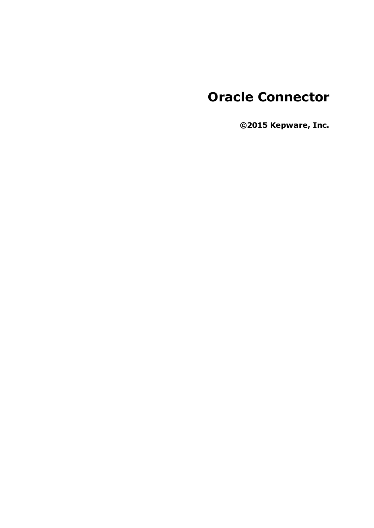# **Oracle Connector**

**©2015 Kepware, Inc.**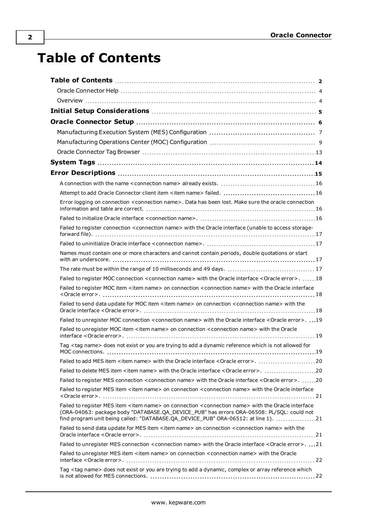# <span id="page-1-0"></span>**Table of Contents**

| Error logging on connection <connection name="">. Data has been lost. Make sure the oracle connection</connection>                                                                                                                                                                                               |  |
|------------------------------------------------------------------------------------------------------------------------------------------------------------------------------------------------------------------------------------------------------------------------------------------------------------------|--|
|                                                                                                                                                                                                                                                                                                                  |  |
|                                                                                                                                                                                                                                                                                                                  |  |
| Failed to register connection <connection name=""> with the Oracle interface (unable to access storage-</connection>                                                                                                                                                                                             |  |
|                                                                                                                                                                                                                                                                                                                  |  |
| Names must contain one or more characters and cannot contain periods, double quotations or start                                                                                                                                                                                                                 |  |
|                                                                                                                                                                                                                                                                                                                  |  |
| Failed to register MOC connection <connection name=""> with the Oracle interface <oracle error="">. 18</oracle></connection>                                                                                                                                                                                     |  |
| Failed to register MOC item <item name=""> on connection <connection name=""> with the Oracle interface</connection></item>                                                                                                                                                                                      |  |
| Failed to send data update for MOC item <item name=""> on connection <connection name=""> with the</connection></item>                                                                                                                                                                                           |  |
| Failed to unregister MOC connection <connection name=""> with the Oracle interface <oracle error="">. 19</oracle></connection>                                                                                                                                                                                   |  |
| Failed to unregister MOC item <item name=""> on connection <connection name=""> with the Oracle</connection></item>                                                                                                                                                                                              |  |
| Tag <tag name=""> does not exist or you are trying to add a dynamic reference which is not allowed for</tag>                                                                                                                                                                                                     |  |
|                                                                                                                                                                                                                                                                                                                  |  |
| Failed to delete MES item <item name=""> with the Oracle interface <oracle error="">. 20</oracle></item>                                                                                                                                                                                                         |  |
| Failed to register MES connection <connection name=""> with the Oracle interface <oracle error="">. 20</oracle></connection>                                                                                                                                                                                     |  |
| Failed to register MES item <item name=""> on connection <connection name=""> with the Oracle interface</connection></item>                                                                                                                                                                                      |  |
| Failed to register MES item <item name=""> on connection <connection name=""> with the Oracle interface<br/>(ORA-04063: package body "DATABASE.QA_DEVICE_PUB" has errors ORA-06508: PL/SQL: could not<br/>find program unit being called: "DATABASE.QA_DEVICE_PUB" ORA-06512: at line 1). 21</connection></item> |  |
| Failed to send data update for MES item <item name=""> on connection <connection name=""> with the</connection></item>                                                                                                                                                                                           |  |
| Failed to unregister MES connection <connection name=""> with the Oracle interface <oracle error="">. 21</oracle></connection>                                                                                                                                                                                   |  |
| Failed to unregister MES item <item name=""> on connection <connection name=""> with the Oracle</connection></item>                                                                                                                                                                                              |  |
| Tag <tag name=""> does not exist or you are trying to add a dynamic, complex or array reference which</tag>                                                                                                                                                                                                      |  |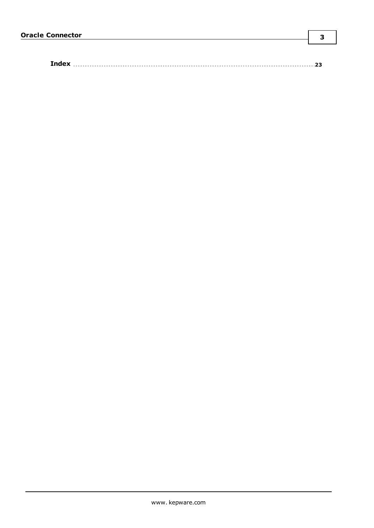|--|

**3**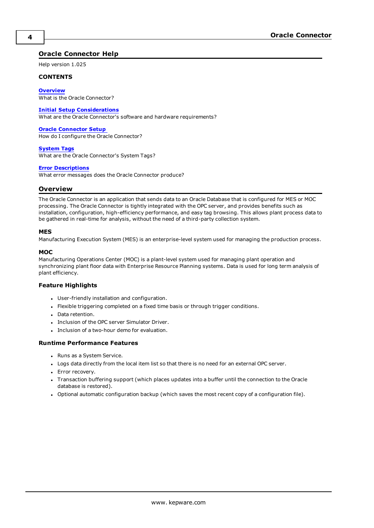# <span id="page-3-0"></span>**Oracle Connector Help**

Help version 1.025

### **CONTENTS**

**[Overview](#page-3-1)** What is the Oracle Connector?

### **Initial Setup [Considerations](#page-4-0)**

What are the Oracle Connector's software and hardware requirements?

### **Oracle [Connector](#page-5-0) Setup**

How do I configure the Oracle Connector?

#### **[System](#page-13-0) Tags**

What are the Oracle Connector's System Tags?

#### **Error [Descriptions](#page-14-0)**

<span id="page-3-1"></span>What error messages does the Oracle Connector produce?

### **Overview**

The Oracle Connector is an application that sends data to an Oracle Database that is configured for MES or MOC processing. The Oracle Connector is tightly integrated with the OPC server, and provides benefits such as installation, configuration, high-efficiency performance, and easy tag browsing. This allows plant process data to be gathered in real-time for analysis, without the need of a third-party collection system.

### **MES**

Manufacturing Execution System (MES) is an enterprise-level system used for managing the production process.

### **MOC**

Manufacturing Operations Center (MOC) is a plant-level system used for managing plant operation and synchronizing plant floor data with Enterprise Resource Planning systems. Data is used for long term analysis of plant efficiency.

### **Feature Highlights**

- User-friendly installation and configuration.
- Flexible triggering completed on a fixed time basis or through trigger conditions.
- Data retention.
- Inclusion of the OPC server Simulator Driver.
- Inclusion of a two-hour demo for evaluation.

### **Runtime Performance Features**

- Runs as a System Service.
- Logs data directly from the local item list so that there is no need for an external OPC server.
- Error recovery.
- <sup>l</sup> Transaction buffering support (which places updates into a buffer until the connection to the Oracle database is restored).
- Optional automatic configuration backup (which saves the most recent copy of a configuration file).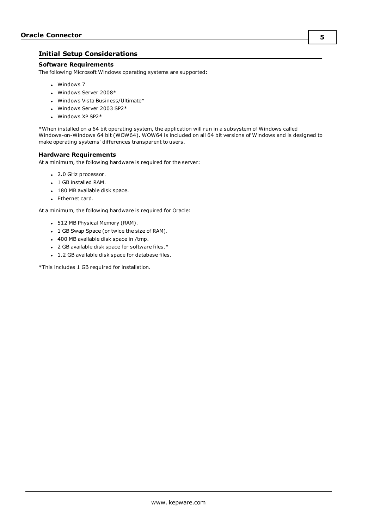# <span id="page-4-0"></span>**Initial Setup Considerations**

### **Software Requirements**

The following Microsoft Windows operating systems are supported:

- Windows 7
- Windows Server 2008\*
- Windows Vista Business/Ultimate\*
- Windows Server 2003 SP2 $*$
- $\cdot$  Windows XP SP2\*

\*When installed on a 64 bit operating system, the application will run in a subsystem of Windows called Windows-on-Windows 64 bit (WOW64). WOW64 is included on all 64 bit versions of Windows and is designed to make operating systems' differences transparent to users.

### **Hardware Requirements**

At a minimum, the following hardware is required for the server:

- 2.0 GHz processor.
- <sup>l</sup> 1 GB installed RAM.
- 180 MB available disk space.
- Ethernet card.

At a minimum, the following hardware is required for Oracle:

- 512 MB Physical Memory (RAM).
- 1 GB Swap Space (or twice the size of RAM).
- $\cdot$  400 MB available disk space in /tmp.
- 2 GB available disk space for software files. $*$
- <sup>l</sup> 1.2 GB available disk space for database files.

\*This includes 1 GB required for installation.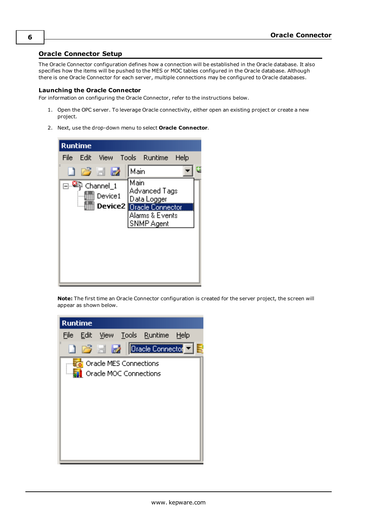# <span id="page-5-0"></span>**Oracle Connector Setup**

The Oracle Connector configuration defines how a connection will be established in the Oracle database. It also specifies how the items will be pushed to the MES or MOC tables configured in the Oracle database. Although there is one Oracle Connector for each server, multiple connections may be configured to Oracle databases.

### **Launching the Oracle Connector**

For information on configuring the Oracle Connector, refer to the instructions below.

- 1. Open the OPC server. To leverage Oracle connectivity, either open an existing project or create a new project.
- 2. Next, use the drop-down menu to select **Oracle Connector**.



**Note:** The first time an Oracle Connector configuration is created for the server project, the screen will appear as shown below.

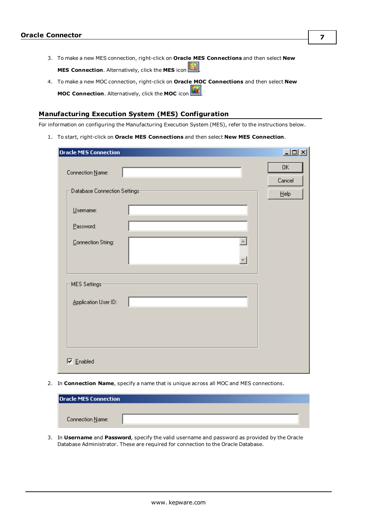- 3. To make a new MES connection, right-click on **Oracle MES Connections** and then select **New MES Connection**. Alternatively, click the **MES** icon
- 4. To make a new MOC connection, right-click on **Oracle MOC Connections** and then select **New MOC Connection**. Alternatively, click the **MOC** icon .

### <span id="page-6-0"></span>**Manufacturing Execution System (MES) Configuration**

For information on configuring the Manufacturing Execution System (MES), refer to the instructions below.

1. To start, right-click on **Oracle MES Connections** and then select **New MES Connection**.

| <b>Oracle MES Connection</b>  | $\Box$        |
|-------------------------------|---------------|
| Connection Name:              | OK.<br>Cancel |
| Database Connection Settings- | $He$ lp       |
| Username:                     |               |
| Password:                     |               |
| Connection String:            |               |
| MES Settings-                 |               |
| Application User ID:          |               |
|                               |               |
|                               |               |
| $\nabla$ Enabled              |               |

2. In **Connection Name**, specify a name that is unique across all MOC and MES connections.

| <b>Oracle MES Connection</b> |  |  |
|------------------------------|--|--|
|                              |  |  |
| Connection Name:             |  |  |

3. In **Username** and **Password**, specify the valid username and password as provided by the Oracle Database Administrator. These are required for connection to the Oracle Database.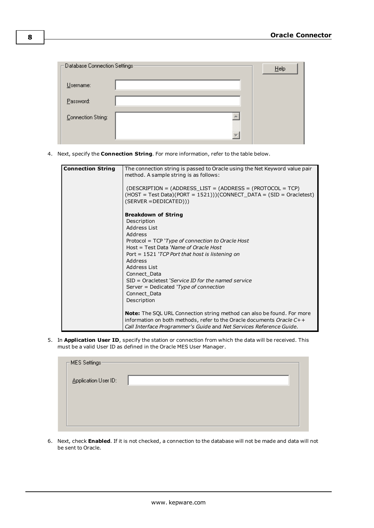| $\sqsubset$ Database Connection Settings: |   | Help |
|-------------------------------------------|---|------|
| Username:                                 |   |      |
| Password:                                 |   |      |
| Connection String:                        |   |      |
|                                           | v |      |

4. Next, specify the **Connection String**. For more information, refer to the table below.

| <b>Connection String</b> | The connection string is passed to Oracle using the Net Keyword value pair    |
|--------------------------|-------------------------------------------------------------------------------|
|                          | method. A sample string is as follows:                                        |
|                          |                                                                               |
|                          |                                                                               |
|                          | $(DESCRIPITION = (ADDRESS LIST = (ADDRESS = (PROTOCOL = TCP))$                |
|                          | $(HOST = Test Data)(PORT = 1521)) (CONNECT DATA = (SID = Oracletest)$         |
|                          | $(SERVER = DEDICATED)))$                                                      |
|                          | <b>Breakdown of String</b>                                                    |
|                          | Description                                                                   |
|                          | Address List                                                                  |
|                          | Address                                                                       |
|                          | Protocol = TCP 'Type of connection to Oracle Host                             |
|                          | Host = Test Data 'Name of Oracle Host                                         |
|                          | Port = $1521$ 'TCP Port that host is listening on                             |
|                          | Address                                                                       |
|                          | Address List                                                                  |
|                          | Connect Data                                                                  |
|                          | SID = Oracletest 'Service ID for the named service                            |
|                          | Server = Dedicated ' $Type$ of connection                                     |
|                          | Connect Data                                                                  |
|                          | Description                                                                   |
|                          |                                                                               |
|                          | <b>Note:</b> The SQL URL Connection string method can also be found. For more |
|                          | information on both methods, refer to the Oracle documents Oracle C++         |
|                          | Call Interface Programmer's Guide and Net Services Reference Guide.           |
|                          |                                                                               |

5. In **Application User ID**, specify the station or connection from which the data will be received. This must be a valid User ID as defined in the Oracle MES User Manager.

| $\Gamma$ MES Settings- |  |
|------------------------|--|
| Application User ID:   |  |
|                        |  |
|                        |  |
|                        |  |

6. Next, check **Enabled**. If it is not checked, a connection to the database will not be made and data will not be sent to Oracle.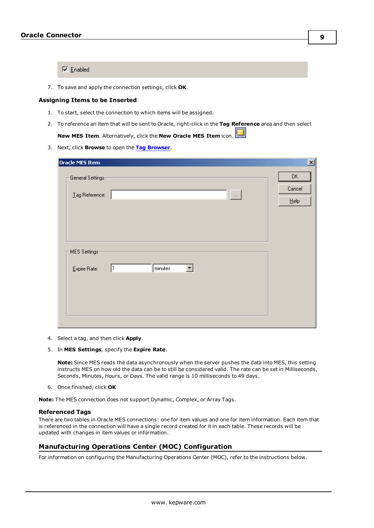$\nabla$  Enabled

7. To save and apply the connection settings, click **OK**.

#### **Assigning Items to be Inserted**

- 1. To start, select the connection to which items will be assigned.
- 2. To reference an item that will be sent to Oracle, right-click in the **Tag Reference** area and then select **New MES Item**. Alternatively, click the **New Oracle MES Item** icon.
- 3. Next, click **Browse** to open the **Tag [Browser](#page-12-0)**.

| Oracle MES Item                   | 区                   |
|-----------------------------------|---------------------|
| General Settings-                 | 0K<br>Cancel        |
| Lag Reference:<br>$\ldots$        | $\underline{He}$ lp |
|                                   |                     |
| MES Settings:                     |                     |
| minutes<br>1<br>Expire Rate:<br>▼ |                     |
|                                   |                     |
|                                   |                     |

- 4. Select a tag, and then click **Apply**.
- 5. In **MES Settings**, specify the **Expire Rate**.

**Note:** Since MES reads the data asynchronously when the server pushes the data into MES, this setting instructs MES on how old the data can be to still be considered valid. The rate can be set in Milliseconds, Seconds, Minutes, Hours, or Days. The valid range is 10 milliseconds to 49 days.

6. Once finished, click **OK**

**Note:** The MES connection does not support Dynamic, Complex, or Array Tags.

### **Referenced Tags**

There are two tables in Oracle MES connections: one for item values and one for item information. Each item that is referenced in the connection will have a single record created for it in each table. These records will be updated with changes in item values or information.

### <span id="page-8-0"></span>**Manufacturing Operations Center (MOC) Configuration**

For information on configuring the Manufacturing Operations Center (MOC), refer to the instructions below.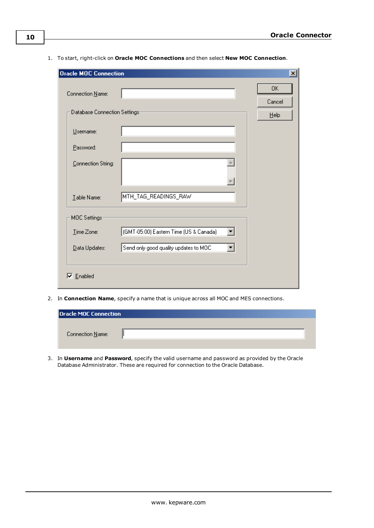1. To start, right-click on **Oracle MOC Connections** and then select **New MOC Connection**.

| <b>Oracle MOC Connection</b>  |                                        | <u>x </u>    |
|-------------------------------|----------------------------------------|--------------|
| Connection Name:              |                                        | 0K<br>Cancel |
| Database Connection Settings: |                                        | $He$ lp      |
| Username:                     |                                        |              |
| Password:                     |                                        |              |
| Connection String:            |                                        |              |
| Table Name:                   | MTH_TAG_READINGS_RAW                   |              |
| MOC Settings:                 |                                        |              |
| Time Zone:                    | (GMT-05:00) Eastern Time (US & Canada) |              |
| Data Updates:                 | Send only good quality updates to MOC  |              |
| $\nabla$ Enabled              |                                        |              |

2. In **Connection Name**, specify a name that is unique across all MOC and MES connections.

| <b>Oracle MOC Connection</b> |  |
|------------------------------|--|
|                              |  |
| Connection Name:             |  |
|                              |  |

3. In **Username** and **Password**, specify the valid username and password as provided by the Oracle Database Administrator. These are required for connection to the Oracle Database.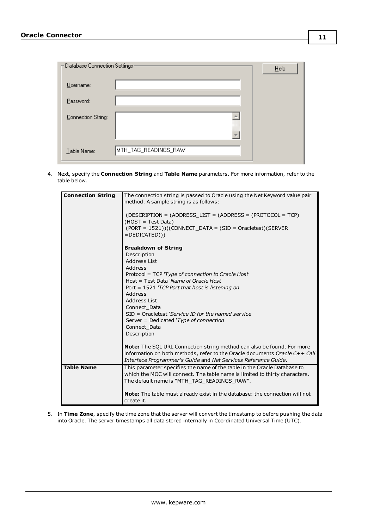| $\pm$ Database Connection Settings: |                      | He |
|-------------------------------------|----------------------|----|
| Username:                           |                      |    |
| Password:                           |                      |    |
| Connection String:                  |                      |    |
|                                     |                      |    |
| Table Name:                         | MTH_TAG_READINGS_RAW |    |

4. Next, specify the **Connection String** and **Table Name** parameters. For more information, refer to the table below.

| <b>Connection String</b> | The connection string is passed to Oracle using the Net Keyword value pair<br>method. A sample string is as follows:<br>$(DESCRIPITION = (ADDRESS LIST = (ADDRESS = (PROTOCOL = TCP))$<br>(HOST = Test Data)<br>$(PORT = 1521))$ (CONNECT DATA = (SID = Oracletest)(SERVER<br>$=$ DEDICATED $))$                                                                                                    |
|--------------------------|-----------------------------------------------------------------------------------------------------------------------------------------------------------------------------------------------------------------------------------------------------------------------------------------------------------------------------------------------------------------------------------------------------|
|                          | <b>Breakdown of String</b><br>Description<br>Address List<br>Address<br>Protocol = TCP 'Type of connection to Oracle Host<br>Host = Test Data 'Name of Oracle Host<br>Port = $1521$ 'TCP Port that host is listening on<br>Address<br>Address List<br>Connect Data<br>$SID = Oracletest$ 'Service ID for the named service<br>Server = Dedicated 'Type of connection<br>Connect Data<br>Description |
|                          | <b>Note:</b> The SQL URL Connection string method can also be found. For more<br>information on both methods, refer to the Oracle documents Oracle C++ Call<br>Interface Programmer's Guide and Net Services Reference Guide.                                                                                                                                                                       |
| <b>Table Name</b>        | This parameter specifies the name of the table in the Oracle Database to<br>which the MOC will connect. The table name is limited to thirty characters.<br>The default name is "MTH TAG READINGS RAW".                                                                                                                                                                                              |
|                          | <b>Note:</b> The table must already exist in the database: the connection will not<br>create it.                                                                                                                                                                                                                                                                                                    |

5. In **Time Zone**, specify the time zone that the server will convert the timestamp to before pushing the data into Oracle. The server timestamps all data stored internally in Coordinated Universal Time (UTC).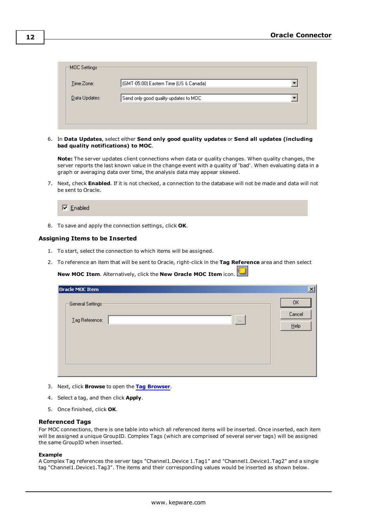| −MOC Settings <sup>.</sup> |                                          |  |
|----------------------------|------------------------------------------|--|
| Time Zone:                 | [(GMT-05:00) Eastern Time (US & Canada)] |  |
| Data Updates:              | Send only good quality updates to MOC.   |  |
|                            |                                          |  |
|                            |                                          |  |

6. In **Data Updates**, select either **Send only good quality updates** or **Send all updates (including bad quality notifications) to MOC**.

**Note:** The server updates client connections when data or quality changes. When quality changes, the server reports the last known value in the change event with a quality of 'bad'. When evaluating data in a graph or averaging data over time, the analysis data may appear skewed.

7. Next, check **Enabled**. If it is not checked, a connection to the database will not be made and data will not be sent to Oracle.

 $\nabla$  Enabled

8. To save and apply the connection settings, click **OK**.

### **Assigning Items to be Inserted**

- 1. To start, select the connection to which items will be assigned.
- 2. To reference an item that will be sent to Oracle, right-click in the **Tag Reference** area and then select

**New MOC Item**. Alternatively, click the **New Oracle MOC Item** icon.

| Oracle MOC Item                       |          | $\mathbf{X}$            |
|---------------------------------------|----------|-------------------------|
| – General Settings-<br>Lag Reference: | $\cdots$ | 0K<br>Cancel<br>$He$ lp |
|                                       |          |                         |

- 3. Next, click **Browse** to open the **Tag [Browser](#page-12-0)**.
- 4. Select a tag, and then click **Apply**.
- 5. Once finished, click **OK**.

#### **Referenced Tags**

For MOC connections, there is one table into which all referenced items will be inserted. Once inserted, each item will be assigned a unique GroupID. Complex Tags (which are comprised of several server tags) will be assigned the same GroupID when inserted.

#### **Example**

A Complex Tag references the server tags "Channel1.Device 1.Tag1" and "Channel1.Device1.Tag2" and a single tag "Channel1.Device1.Tag3". The items and their corresponding values would be inserted as shown below.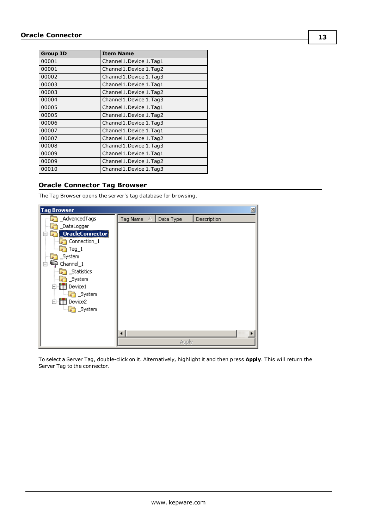| <b>Group ID</b> | <b>Item Name</b>       |
|-----------------|------------------------|
| 00001           | Channel1.Device 1.Tag1 |
| 00001           | Channel1.Device 1.Tag2 |
| 00002           | Channel1.Device 1.Tag3 |
| 00003           | Channel1.Device 1.Tag1 |
| 00003           | Channel1.Device 1.Tag2 |
| 00004           | Channel1.Device 1.Tag3 |
| 00005           | Channel1.Device 1.Tag1 |
| 00005           | Channel1.Device 1.Tag2 |
| 00006           | Channel1.Device 1.Tag3 |
| 00007           | Channel1.Device 1.Tag1 |
| 00007           | Channel1.Device 1.Tag2 |
| 00008           | Channel1.Device 1.Tag3 |
| 00009           | Channel1.Device 1.Tag1 |
| 00009           | Channel1.Device 1.Tag2 |
| 00010           | Channel1.Device 1.Tag3 |

# <span id="page-12-0"></span>**Oracle Connector Tag Browser**

The Tag Browser opens the server's tag database for browsing.



To select a Server Tag, double-click on it. Alternatively, highlight it and then press **Apply**. This will return the Server Tag to the connector.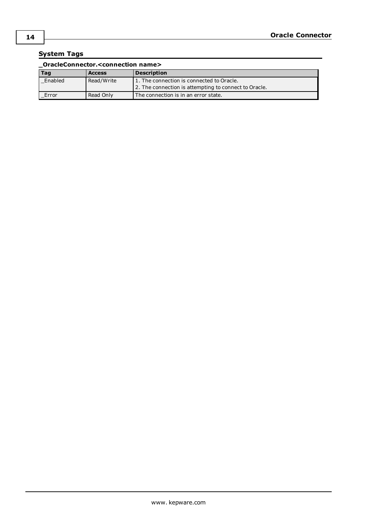# <span id="page-13-0"></span>**System Tags**

| OracleConnector. <connection name=""></connection> |               |                                                       |  |  |  |
|----------------------------------------------------|---------------|-------------------------------------------------------|--|--|--|
| Tag                                                | <b>Access</b> | <b>Description</b>                                    |  |  |  |
| Enabled                                            | Read/Write    | 1. The connection is connected to Oracle.             |  |  |  |
|                                                    |               | 2. The connection is attempting to connect to Oracle. |  |  |  |
| Error                                              | Read Only     | The connection is in an error state.                  |  |  |  |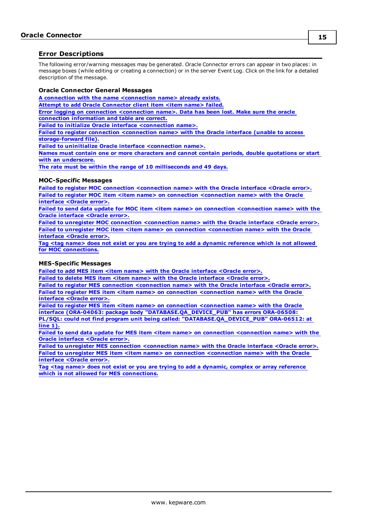### <span id="page-14-0"></span>**Error Descriptions**

The following error/warning messages may be generated. Oracle Connector errors can appear in two places: in message boxes (while editing or creating a connection) or in the server Event Log. Click on the link for a detailed description of the message.

### **Oracle Connector General Messages**

**A connection with the name [<connection](#page-15-0) name> already exists.**

**Attempt to add Oracle [Connector](#page-15-1) client item <item name> failed.**

**Error logging on connection [<connection](#page-15-2) name>. Data has been lost. Make sure the oracle connection [information](#page-15-2) and table are correct.**

**Failed to initialize Oracle interface [<connection](#page-15-3) name>.**

**Failed to register connection [<connection](#page-16-0) name> with the Oracle interface (unable to access [storage-forward](#page-16-0) file).**

**Failed to uninitialize Oracle interface [<connection](#page-16-1) name>.**

**Names must contain one or more characters and cannot contain periods, double [quotations](#page-16-2) or start with an [underscore.](#page-16-2)**

**The rate must be within the range of 10 [milliseconds](#page-16-3) and 49 days.**

### **MOC-Specific Messages**

**Failed to register MOC connection [<connection](#page-17-0) name> with the Oracle interface <Oracle error>. Failed to register MOC item <item name> on connection [<connection](#page-17-1) name> with the Oracle [interface](#page-17-1) <Oracle error>.**

**Failed to send data update for MOC item <item name> on connection [<connection](#page-17-2) name> with the Oracle [interface](#page-17-2) <Oracle error>.**

**Failed to unregister MOC connection [<connection](#page-18-0) name> with the Oracle interface <Oracle error>. Failed to unregister MOC item <item name> on connection [<connection](#page-18-1) name> with the Oracle [interface](#page-18-1) <Oracle error>.**

Tag <tag name> does not exist or you are trying to add a dynamic [reference](#page-18-2) which is not allowed **for MOC [connections.](#page-18-2)**

### **MES-Specific Messages**

**Failed to add MES item <item name> with the Oracle [interface](#page-19-0) <Oracle error>.**

**Failed to delete MES item <item name> with the Oracle [interface](#page-19-1) <Oracle error>.**

**Failed to register MES connection [<connection](#page-19-2) name> with the Oracle interface <Oracle error>. Failed to register MES item <item name> on connection [<connection](#page-20-0) name> with the Oracle [interface](#page-20-0) <Oracle error>.**

**Failed to register MES item <item name> on connection [<connection](#page-20-1) name> with the Oracle interface (ORA-04063: package body ["DATABASE.QA\\_DEVICE\\_PUB"](#page-20-1) has errors ORA-06508: PL/SQL: could not find program unit being called: ["DATABASE.QA\\_DEVICE\\_PUB"](#page-20-1) ORA-06512: at [line](#page-20-1) 1).**

**Failed to send data update for MES item <item name> on connection [<connection](#page-20-2) name> with the Oracle [interface](#page-20-2) <Oracle error>.**

**Failed to unregister MES connection [<connection](#page-20-3) name> with the Oracle interface <Oracle error>. Failed to unregister MES item <item name> on connection [<connection](#page-21-0) name> with the Oracle [interface](#page-21-0) <Oracle error>.**

**Tag <tag name> does not exist or you are trying to add a dynamic, complex or array [reference](#page-21-1) which is not allowed for MES [connections.](#page-21-1)**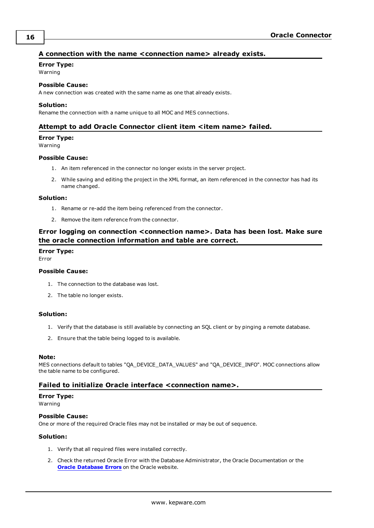# <span id="page-15-0"></span>**A connection with the name <connection name> already exists.**

# **Error Type:**

Warning

# **Possible Cause:**

A new connection was created with the same name as one that already exists.

### **Solution:**

<span id="page-15-1"></span>Rename the connection with a name unique to all MOC and MES connections.

### **Attempt to add Oracle Connector client item <item name> failed.**

### **Error Type:**

Warning

### **Possible Cause:**

- 1. An item referenced in the connector no longer exists in the server project.
- 2. While saving and editing the project in the XML format, an item referenced in the connector has had its name changed.

### **Solution:**

- 1. Rename or re-add the item being referenced from the connector.
- 2. Remove the item reference from the connector.

# <span id="page-15-2"></span>**Error logging on connection <connection name>. Data has been lost. Make sure the oracle connection information and table are correct.**

### **Error Type:**

Error

### **Possible Cause:**

- 1. The connection to the database was lost.
- 2. The table no longer exists.

### **Solution:**

- 1. Verify that the database is still available by connecting an SQL client or by pinging a remote database.
- 2. Ensure that the table being logged to is available.

### **Note:**

MES connections default to tables "QA\_DEVICE\_DATA\_VALUES" and "QA\_DEVICE\_INFO". MOC connections allow the table name to be configured.

### <span id="page-15-3"></span>**Failed to initialize Oracle interface <connection name>.**

### **Error Type:**

Warning

# **Possible Cause:**

One or more of the required Oracle files may not be installed or may be out of sequence.

- 1. Verify that all required files were installed correctly.
- 2. Check the returned Oracle Error with the Database Administrator, the Oracle Documentation or the **Oracle [Database](http://download.oracle.com/docs/cd/B14117_01/server.101/b10744/toc.htm) Errors** on the Oracle website.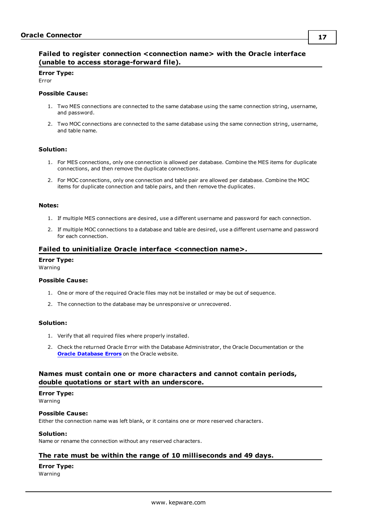# <span id="page-16-0"></span>**Failed to register connection <connection name> with the Oracle interface (unable to access storage-forward file).**

### **Error Type:**

Error

### **Possible Cause:**

- 1. Two MES connections are connected to the same database using the same connection string, username, and password.
- 2. Two MOC connections are connected to the same database using the same connection string, username, and table name.

### **Solution:**

- 1. For MES connections, only one connection is allowed per database. Combine the MES items for duplicate connections, and then remove the duplicate connections.
- 2. For MOC connections, only one connection and table pair are allowed per database. Combine the MOC items for duplicate connection and table pairs, and then remove the duplicates.

### **Notes:**

- 1. If multiple MES connections are desired, use a different username and password for each connection.
- 2. If multiple MOC connections to a database and table are desired, use a different username and password for each connection.

### <span id="page-16-1"></span>**Failed to uninitialize Oracle interface <connection name>.**

### **Error Type:**

Warning

### **Possible Cause:**

- 1. One or more of the required Oracle files may not be installed or may be out of sequence.
- 2. The connection to the database may be unresponsive or unrecovered.

### **Solution:**

- 1. Verify that all required files where properly installed.
- 2. Check the returned Oracle Error with the Database Administrator, the Oracle Documentation or the **Oracle [Database](http://download.oracle.com/docs/cd/B14117_01/server.101/b10744/toc.htm) Errors** on the Oracle website.

### <span id="page-16-2"></span>**Names must contain one or more characters and cannot contain periods, double quotations or start with an underscore.**

### **Error Type:**

Warning

### **Possible Cause:**

Either the connection name was left blank, or it contains one or more reserved characters.

### **Solution:**

<span id="page-16-3"></span>Name or rename the connection without any reserved characters.

### **The rate must be within the range of 10 milliseconds and 49 days.**

### **Error Type:**

Warning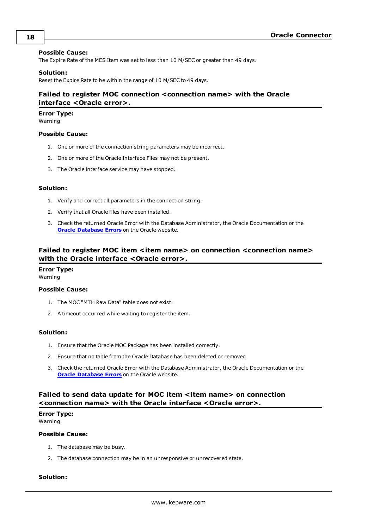### **Possible Cause:**

The Expire Rate of the MES Item was set to less than 10 M/SEC or greater than 49 days.

### **Solution:**

<span id="page-17-0"></span>Reset the Expire Rate to be within the range of 10 M/SEC to 49 days.

# **Failed to register MOC connection <connection name> with the Oracle interface <Oracle error>.**

#### **Error Type:**

Warning

### **Possible Cause:**

- 1. One or more of the connection string parameters may be incorrect.
- 2. One or more of the Oracle Interface Files may not be present.
- 3. The Oracle interface service may have stopped.

### **Solution:**

- 1. Verify and correct all parameters in the connection string.
- 2. Verify that all Oracle files have been installed.
- 3. Check the returned Oracle Error with the Database Administrator, the Oracle Documentation or the **Oracle [Database](http://download.oracle.com/docs/cd/B14117_01/server.101/b10744/toc.htm) Errors** on the Oracle website.

# <span id="page-17-1"></span>**Failed** to register MOC item <item name> on connection <connection name> **with the Oracle interface <Oracle error>.**

### **Error Type:**

Warning

### **Possible Cause:**

- 1. The MOC "MTH Raw Data" table does not exist.
- 2. A timeout occurred while waiting to register the item.

### **Solution:**

- 1. Ensure that the Oracle MOC Package has been installed correctly.
- 2. Ensure that no table from the Oracle Database has been deleted or removed.
- 3. Check the returned Oracle Error with the Database Administrator, the Oracle Documentation or the **Oracle [Database](http://download.oracle.com/docs/cd/B14117_01/server.101/b10744/toc.htm) Errors** on the Oracle website.

# <span id="page-17-2"></span>**Failed to send data update for MOC item <item name> on connection <connection name> with the Oracle interface <Oracle error>.**

# **Error Type:**

Warning

### **Possible Cause:**

- 1. The database may be busy.
- 2. The database connection may be in an unresponsive or unrecovered state.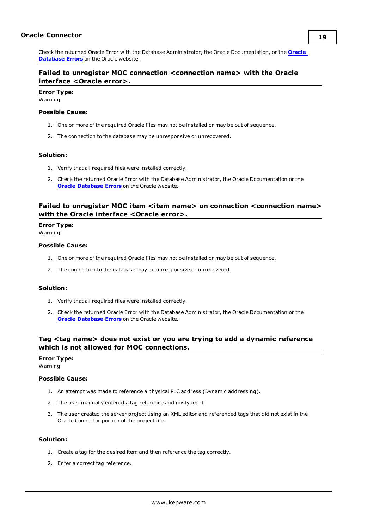Check the returned Oracle Error with the Database Administrator, the Oracle Documentation, or the **[Oracle](http://download.oracle.com/docs/cd/B14117_01/server.101/b10744/toc.htm) [Database](http://download.oracle.com/docs/cd/B14117_01/server.101/b10744/toc.htm) Errors** on the Oracle website.

# <span id="page-18-0"></span>**Failed to unregister MOC connection <connection name> with the Oracle interface <Oracle error>.**

### **Error Type:**

Warning

### **Possible Cause:**

- 1. One or more of the required Oracle files may not be installed or may be out of sequence.
- 2. The connection to the database may be unresponsive or unrecovered.

### **Solution:**

- 1. Verify that all required files were installed correctly.
- 2. Check the returned Oracle Error with the Database Administrator, the Oracle Documentation or the **Oracle [Database](http://download.oracle.com/docs/cd/B14117_01/server.101/b10744/toc.htm) Errors** on the Oracle website.

# <span id="page-18-1"></span>**Failed to unregister MOC item <item name> on connection <connection name> with the Oracle interface <Oracle error>.**

### **Error Type:**

Warning

### **Possible Cause:**

- 1. One or more of the required Oracle files may not be installed or may be out of sequence.
- 2. The connection to the database may be unresponsive or unrecovered.

### **Solution:**

- 1. Verify that all required files were installed correctly.
- 2. Check the returned Oracle Error with the Database Administrator, the Oracle Documentation or the **Oracle [Database](http://download.oracle.com/docs/cd/B14117_01/server.101/b10744/toc.htm) Errors** on the Oracle website.

# <span id="page-18-2"></span>**Tag <tag name> does not exist or you are trying to add a dynamic reference which is not allowed for MOC connections.**

### **Error Type:**

Warning

### **Possible Cause:**

- 1. An attempt was made to reference a physical PLC address (Dynamic addressing).
- 2. The user manually entered a tag reference and mistyped it.
- 3. The user created the server project using an XML editor and referenced tags that did not exist in the Oracle Connector portion of the project file.

- 1. Create a tag for the desired item and then reference the tag correctly.
- 2. Enter a correct tag reference.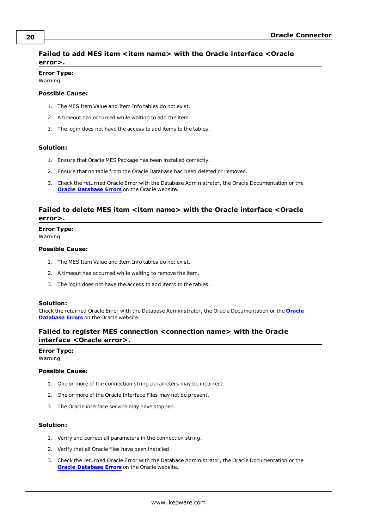# <span id="page-19-0"></span>**Failed to add MES item <item name> with the Oracle interface <Oracle error>.**

# **Error Type:**

Warning

### **Possible Cause:**

- 1. The MES Item Value and Item Info tables do not exist.
- 2. A timeout has occurred while waiting to add the item.
- 3. The login does not have the access to add items to the tables.

### **Solution:**

- 1. Ensure that Oracle MES Package has been installed correctly.
- 2. Ensure that no table from the Oracle Database has been deleted or removed.
- 3. Check the returned Oracle Error with the Database Administrator, the Oracle Documentation or the **Oracle [Database](http://download.oracle.com/docs/cd/B14117_01/server.101/b10744/toc.htm) Errors** on the Oracle website.

### <span id="page-19-1"></span>**Failed to delete MES item <item name> with the Oracle interface <Oracle error>.**

# **Error Type:**

Warning

### **Possible Cause:**

- 1. The MES Item Value and Item Info tables do not exist.
- 2. A timeout has occurred while waiting to remove the item.
- 3. The login does not have the access to add items to the tables.

### **Solution:**

Check the returned Oracle Error with the Database Administrator, the Oracle Documentation or the **[Oracle](http://download.oracle.com/docs/cd/B14117_01/server.101/b10744/toc.htm) [Database](http://download.oracle.com/docs/cd/B14117_01/server.101/b10744/toc.htm) Errors** on the Oracle website.

# <span id="page-19-2"></span>**Failed to register MES connection <connection name> with the Oracle interface <Oracle error>.**

# **Error Type:**

Warning

### **Possible Cause:**

- 1. One or more of the connection string parameters may be incorrect.
- 2. One or more of the Oracle Interface Files may not be present.
- 3. The Oracle interface service may have stopped.

- 1. Verify and correct all parameters in the connection string.
- 2. Verify that all Oracle files have been installed.
- 3. Check the returned Oracle Error with the Database Administrator, the Oracle Documentation or the **Oracle [Database](http://download.oracle.com/docs/cd/B14117_01/server.101/b10744/toc.htm) Errors** on the Oracle website.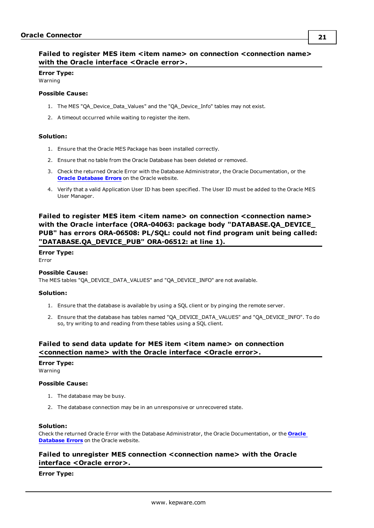# <span id="page-20-0"></span>**Failed to register MES item <item name> on connection <connection name> with the Oracle interface <Oracle error>.**

### **Error Type:** Warning

# **Possible Cause:**

- 1. The MES "QA\_Device\_Data\_Values" and the "QA\_Device\_Info" tables may not exist.
- 2. A timeout occurred while waiting to register the item.

### **Solution:**

- 1. Ensure that the Oracle MES Package has been installed correctly.
- 2. Ensure that no table from the Oracle Database has been deleted or removed.
- 3. Check the returned Oracle Error with the Database Administrator, the Oracle Documentation, or the **Oracle [Database](http://download.oracle.com/docs/cd/B14117_01/server.101/b10744/toc.htm) Errors** on the Oracle website.
- 4. Verify that a valid Application User ID has been specified. The User ID must be added to the Oracle MES User Manager.

# <span id="page-20-1"></span>**Failed to register MES item <item name> on connection <connection name> with the Oracle interface (ORA-04063: package body "DATABASE.QA\_DEVICE\_ PUB" has errors ORA-06508: PL/SQL: could not find program unit being called: "DATABASE.QA\_DEVICE\_PUB" ORA-06512: at line 1).**

# **Error Type:**

Error

### **Possible Cause:**

The MES tables "QA\_DEVICE\_DATA\_VALUES" and "QA\_DEVICE\_INFO" are not available.

### **Solution:**

- 1. Ensure that the database is available by using a SQL client or by pinging the remote server.
- 2. Ensure that the database has tables named "QA\_DEVICE\_DATA\_VALUES" and "QA\_DEVICE\_INFO". To do so, try writing to and reading from these tables using a SQL client.

# <span id="page-20-2"></span>**Failed to send data update for MES item <item name> on connection <connection name> with the Oracle interface <Oracle error>.**

# **Error Type:**

Warning

### **Possible Cause:**

- 1. The database may be busy.
- 2. The database connection may be in an unresponsive or unrecovered state.

### **Solution:**

Check the returned Oracle Error with the Database Administrator, the Oracle Documentation, or the **[Oracle](http://download.oracle.com/docs/cd/B14117_01/server.101/b10744/toc.htm) [Database](http://download.oracle.com/docs/cd/B14117_01/server.101/b10744/toc.htm) Errors** on the Oracle website.

# <span id="page-20-3"></span>**Failed to unregister MES connection <connection name> with the Oracle interface <Oracle error>.**

### **Error Type:**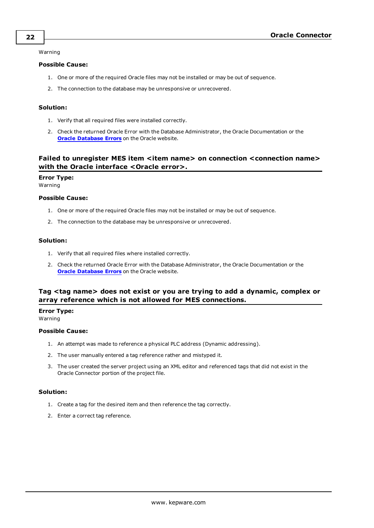Warning

### **Possible Cause:**

- 1. One or more of the required Oracle files may not be installed or may be out of sequence.
- 2. The connection to the database may be unresponsive or unrecovered.

### **Solution:**

- 1. Verify that all required files were installed correctly.
- 2. Check the returned Oracle Error with the Database Administrator, the Oracle Documentation or the **Oracle [Database](http://download.oracle.com/docs/cd/B14117_01/server.101/b10744/toc.htm) Errors** on the Oracle website.

# <span id="page-21-0"></span>**Failed to unregister MES item <item name> on connection <connection name> with the Oracle interface <Oracle error>.**

### **Error Type:**

Warning

### **Possible Cause:**

- 1. One or more of the required Oracle files may not be installed or may be out of sequence.
- 2. The connection to the database may be unresponsive or unrecovered.

### **Solution:**

- 1. Verify that all required files where installed correctly.
- 2. Check the returned Oracle Error with the Database Administrator, the Oracle Documentation or the **Oracle [Database](http://download.oracle.com/docs/cd/B14117_01/server.101/b10744/toc.htm) Errors** on the Oracle website.

# <span id="page-21-1"></span>**Tag <tag name> does not exist or you are trying to add a dynamic, complex or array reference which is not allowed for MES connections.**

### **Error Type:**

Warning

### **Possible Cause:**

- 1. An attempt was made to reference a physical PLC address (Dynamic addressing).
- 2. The user manually entered a tag reference rather and mistyped it.
- 3. The user created the server project using an XML editor and referenced tags that did not exist in the Oracle Connector portion of the project file.

- 1. Create a tag for the desired item and then reference the tag correctly.
- 2. Enter a correct tag reference.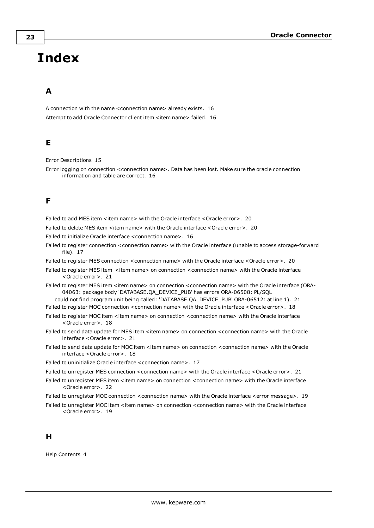# <span id="page-22-0"></span>**Index**

# **A**

A connection with the name <connection name> already exists. [16](#page-15-0) Attempt to add Oracle Connector client item <item name> failed. [16](#page-15-1)

# **E**

```
Error Descriptions 15
```
Error logging on connection <connection name>. Data has been lost. Make sure the oracle connection information and table are correct. [16](#page-15-2)

# **F**

Failed to add MES item <item name> with the Oracle interface <Oracle error>. [20](#page-19-0)

Failed to delete MES item <item name> with the Oracle interface <Oracle error>. [20](#page-19-1)

Failed to initialize Oracle interface <connection name>. [16](#page-15-3)

Failed to register connection <connection name> with the Oracle interface (unable to access storage-forward file). [17](#page-16-0)

Failed to register MES connection <connection name> with the Oracle interface <Oracle error>. [20](#page-19-2)

- Failed to register MES item <item name> on connection <connection name> with the Oracle interface <Oracle error>. [21](#page-20-0)
- Failed to register MES item <item name> on connection <connection name> with the Oracle interface (ORA-04063: package body 'DATABASE.QA\_DEVICE\_PUB' has errors ORA-06508: PL/SQL

could not find program unit being called: 'DATABASE.QA\_DEVICE\_PUB' ORA-06512: at line 1). [21](#page-20-1) Failed to register MOC connection <connection name> with the Oracle interface <Oracle error>. [18](#page-17-0)

- Failed to register MOC item <item name> on connection <connection name> with the Oracle interface <Oracle error>. [18](#page-17-1)
- Failed to send data update for MES item <item name> on connection <connection name> with the Oracle interface <Oracle error>. [21](#page-20-2)
- Failed to send data update for MOC item <item name> on connection <connection name> with the Oracle interface <Oracle error>. [18](#page-17-2)

Failed to uninitialize Oracle interface <connection name>. [17](#page-16-1)

- Failed to unregister MES connection < connection name> with the Oracle interface < Oracle error>. [21](#page-20-3)
- Failed to unregister MES item <item name> on connection <connection name> with the Oracle interface <Oracle error>. [22](#page-21-0)
- Failed to unregister MOC connection <connection name> with the Oracle interface <error message>. [19](#page-18-0)
- Failed to unregister MOC item <item name> on connection <connection name> with the Oracle interface <Oracle error>. [19](#page-18-1)

# **H**

Help Contents [4](#page-3-0)